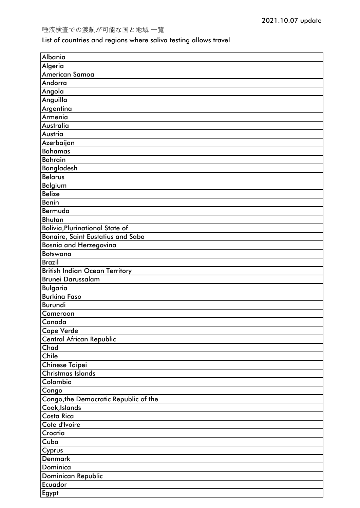## List of countries and regions where saliva testing allows travel

| Albania                                |
|----------------------------------------|
| Algeria                                |
| <b>American Samoa</b>                  |
| Andorra                                |
| Angola                                 |
| Anguilla                               |
| Argentina                              |
| Armenia                                |
| Australia                              |
| Austria                                |
| Azerbaijan                             |
| <b>Bahamas</b>                         |
| <b>Bahrain</b>                         |
| <b>Bangladesh</b>                      |
| <b>Belarus</b>                         |
| Belgium                                |
| <b>Belize</b>                          |
| Benin                                  |
| Bermuda                                |
| Bhutan                                 |
| <b>Bolivia, Plurinational State of</b> |
| Bonaire, Saint Eustatius and Saba      |
| Bosnia and Herzegovina                 |
| <b>Botswana</b>                        |
| <b>Brazil</b>                          |
| <b>British Indian Ocean Territory</b>  |
|                                        |
|                                        |
| <b>Brunei Darussalam</b>               |
| <b>Bulgaria</b>                        |
| <b>Burkina Faso</b>                    |
| Burundi                                |
| Cameroon                               |
| Canada                                 |
| <b>Cape Verde</b>                      |
| Central African Republic               |
| Chad                                   |
| Chile                                  |
| <b>Chinese Taipei</b>                  |
| <b>Christmas Islands</b>               |
| Colombia                               |
| Congo                                  |
| Congo, the Democratic Republic of the  |
| Cook, Islands                          |
| Costa Rica                             |
| Cote d'Ivoire                          |
| Croatia                                |
| Cuba                                   |
| Cyprus                                 |
| <b>Denmark</b>                         |
| Dominica                               |
| Dominican Republic<br>Ecuador          |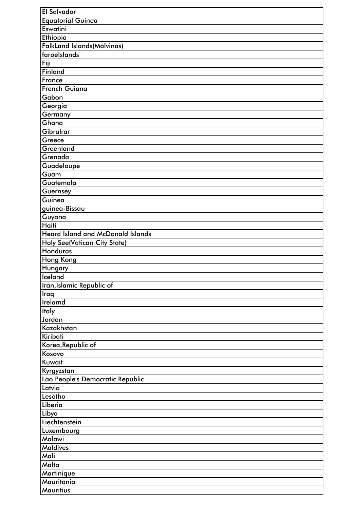| El Salvador                              |
|------------------------------------------|
| <b>Equatorial Guinea</b>                 |
| Eswatini                                 |
| Ethiopia                                 |
| <b>FalkLand Islands (Malvinas)</b>       |
| faroelslands                             |
| Fiji                                     |
| <b>Finland</b>                           |
| France                                   |
| <b>French Guiana</b>                     |
| Gabon                                    |
| Georgia                                  |
| Germany                                  |
| Ghana                                    |
| Gibralrar                                |
| Greece                                   |
| Greenland                                |
| Grenada                                  |
| Guadeloupe                               |
| Guam                                     |
| Guatemala                                |
| Guernsey                                 |
| Guinea                                   |
| guinea-Bissau                            |
|                                          |
| Guyana<br>Haiti                          |
| <b>Heard Island and McDonald Islands</b> |
|                                          |
| <b>Holy See(Vatican City State)</b>      |
| Honduras                                 |
| <b>Hong Kong</b>                         |
| <b>Hungary</b>                           |
| Iceland                                  |
| Iran, Islamic Republic of                |
| <b>Iraq</b>                              |
| Irelamd                                  |
| <b>Italy</b>                             |
| Jordan                                   |
| Kazakhstan                               |
| Kiribati                                 |
| Korea, Republic of                       |
| Kosovo                                   |
| Kuwait                                   |
| Kyrgyzstan                               |
| Lao People's Democratic Republic         |
| Latvia                                   |
| Lesotho                                  |
| Liberia                                  |
| Libya                                    |
| Liechtenstein                            |
| Luxembourg                               |
| Malawi                                   |
| <b>Maldives</b>                          |
| Mali                                     |
| Malta                                    |
| Martinique                               |
| Mauritania                               |
| Mauritius                                |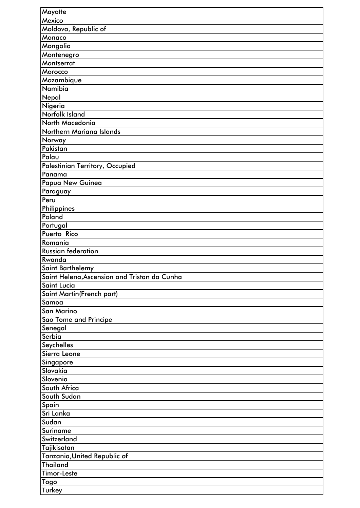| Mayotte                                      |
|----------------------------------------------|
| Mexico                                       |
| Moldova, Republic of                         |
| Monaco                                       |
| Mongolia                                     |
| Montenegro                                   |
| Montserrat                                   |
| Morocco                                      |
| Mozambique                                   |
| Namibia                                      |
| Nepal                                        |
| Nigeria                                      |
| Norfolk Island                               |
| North Macedonia                              |
| Northern Mariana Islands                     |
| Norway                                       |
| Pakistan                                     |
| Palau                                        |
| <b>Palestinian Territory, Occupied</b>       |
| Panama                                       |
| Papua New Guinea                             |
|                                              |
| Paraguay<br>Peru                             |
|                                              |
| Philippines<br>Poland                        |
|                                              |
| Portugal                                     |
| Puerto Rico                                  |
| Romania                                      |
| Russian federation<br>Rwanda                 |
|                                              |
| Saint Barthelemy                             |
| Saint Helena, Ascension and Tristan da Cunha |
| <b>Saint Lucia</b>                           |
| Saint Martin(French part)                    |
| Samoa                                        |
| San Marino                                   |
| Sao Tome and Principe                        |
| Senegal                                      |
| Serbia                                       |
| Seychelles                                   |
| Sierra Leone                                 |
| Singapore                                    |
| Slovakia                                     |
| Slovenia                                     |
| South Africa                                 |
| South Sudan                                  |
| Spain                                        |
| Sri Lanka                                    |
| Sudan                                        |
| Suriname                                     |
| Switzerland                                  |
| Tajikisatan                                  |
| Tanzania, United Republic of                 |
| <b>Thailand</b>                              |
| <b>Timor-Leste</b>                           |
| Togo                                         |
| Turkey                                       |